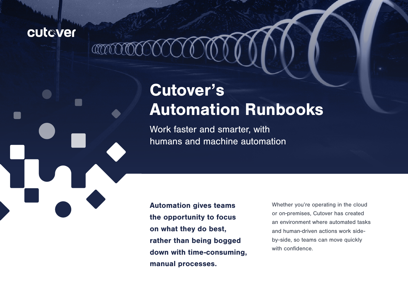### cutaver

 $\mathbb{C}$ 

# Cutover's Automation Runbooks

Work faster and smarter, with humans and machine automation

Automation gives teams the opportunity to focus on what they do best, rather than being bogged down with time-consuming, manual processes.

Whether you're operating in the cloud or on-premises, Cutover has created an environment where automated tasks and human-driven actions work sideby-side, so teams can move quickly with confidence.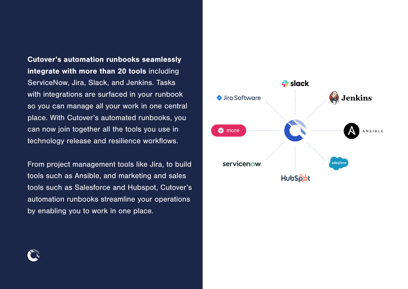Cutover's automation runbooks seamlessly integrate with more than 20 tools including ServiceNow, Jira, Slack, and Jenkins. Tasks with integrations are surfaced in your runbook so you can manage all your work in one central place. With Cutover's automated runbooks, you can now join together all the tools you use in technology release and resilience workflows.

From project management tools like Jira, to build tools such as Ansible, and marketing and sales tools such as Salesforce and Hubspot, Cutover's automation runbooks streamline your operations by enabling you to work in one place.



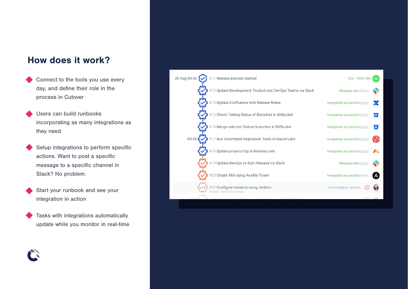#### How does it work?

- Connect to the tools you use every day, and define their role in the process in Cutover
- Users can build runbooks incorporating as many integrations as they need
- Setup integrations to perform specific actions. Want to post a specific message to a specific channel in Slack? No problem.
- Start your runbook and see your integration in action
- Tasks with integrations automatically update while you monitor in real-time

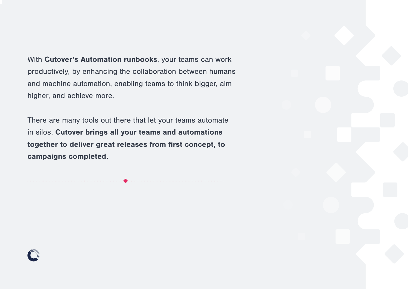With Cutover's Automation runbooks, your teams can work productively, by enhancing the collaboration between humans and machine automation, enabling teams to think bigger, aim higher, and achieve more.

There are many tools out there that let your teams automate in silos. Cutover brings all your teams and automations together to deliver great releases from first concept, to campaigns completed.